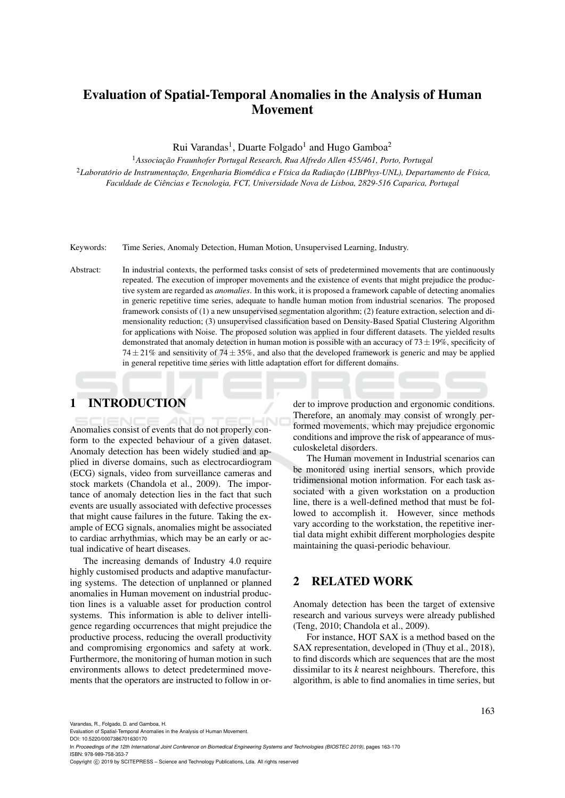# Evaluation of Spatial-Temporal Anomalies in the Analysis of Human Movement

Rui Varandas<sup>1</sup>, Duarte Folgado<sup>1</sup> and Hugo Gamboa<sup>2</sup>

<sup>1</sup> Associação Fraunhofer Portugal Research, Rua Alfredo Allen 455/461, Porto, Portugal <sup>2</sup>Laboratório de Instrumentação, Engenharia Biomédica e Física da Radiação (LIBPhys-UNL), Departamento de Física, *Faculdade de Ciencias e Tecnologia, FCT, Universidade Nova de Lisboa, 2829-516 Caparica, Portugal ˆ*

Keywords: Time Series, Anomaly Detection, Human Motion, Unsupervised Learning, Industry.

Abstract: In industrial contexts, the performed tasks consist of sets of predetermined movements that are continuously repeated. The execution of improper movements and the existence of events that might prejudice the productive system are regarded as *anomalies*. In this work, it is proposed a framework capable of detecting anomalies in generic repetitive time series, adequate to handle human motion from industrial scenarios. The proposed framework consists of (1) a new unsupervised segmentation algorithm; (2) feature extraction, selection and dimensionality reduction; (3) unsupervised classification based on Density-Based Spatial Clustering Algorithm for applications with Noise. The proposed solution was applied in four different datasets. The yielded results demonstrated that anomaly detection in human motion is possible with an accuracy of  $73 \pm 19$ %, specificity of 74 $\pm$ 21% and sensitivity of 74 $\pm$ 35%, and also that the developed framework is generic and may be applied in general repetitive time series with little adaptation effort for different domains.

# 1 INTRODUCTION

Anomalies consist of events that do not properly conform to the expected behaviour of a given dataset. Anomaly detection has been widely studied and applied in diverse domains, such as electrocardiogram (ECG) signals, video from surveillance cameras and stock markets (Chandola et al., 2009). The importance of anomaly detection lies in the fact that such events are usually associated with defective processes that might cause failures in the future. Taking the example of ECG signals, anomalies might be associated to cardiac arrhythmias, which may be an early or actual indicative of heart diseases.

The increasing demands of Industry 4.0 require highly customised products and adaptive manufacturing systems. The detection of unplanned or planned anomalies in Human movement on industrial production lines is a valuable asset for production control systems. This information is able to deliver intelligence regarding occurrences that might prejudice the productive process, reducing the overall productivity and compromising ergonomics and safety at work. Furthermore, the monitoring of human motion in such environments allows to detect predetermined movements that the operators are instructed to follow in or-

der to improve production and ergonomic conditions. Therefore, an anomaly may consist of wrongly performed movements, which may prejudice ergonomic conditions and improve the risk of appearance of musculoskeletal disorders.

The Human movement in Industrial scenarios can be monitored using inertial sensors, which provide tridimensional motion information. For each task associated with a given workstation on a production line, there is a well-defined method that must be followed to accomplish it. However, since methods vary according to the workstation, the repetitive inertial data might exhibit different morphologies despite maintaining the quasi-periodic behaviour.

## 2 RELATED WORK

Anomaly detection has been the target of extensive research and various surveys were already published (Teng, 2010; Chandola et al., 2009).

For instance, HOT SAX is a method based on the SAX representation, developed in (Thuy et al., 2018), to find discords which are sequences that are the most dissimilar to its *k* nearest neighbours. Therefore, this algorithm, is able to find anomalies in time series, but

Varandas, R., Folgado, D. and Gamboa, H.

Evaluation of Spatial-Temporal Anomalies in the Analysis of Human Movement.

DOI: 10.5220/0007386701630170 In *Proceedings of the 12th International Joint Conference on Biomedical Engineering Systems and Technologies (BIOSTEC 2019)*, pages 163-170 ISBN: 978-989-758-353-7

Copyright (C) 2019 by SCITEPRESS - Science and Technology Publications, Lda. All rights reserved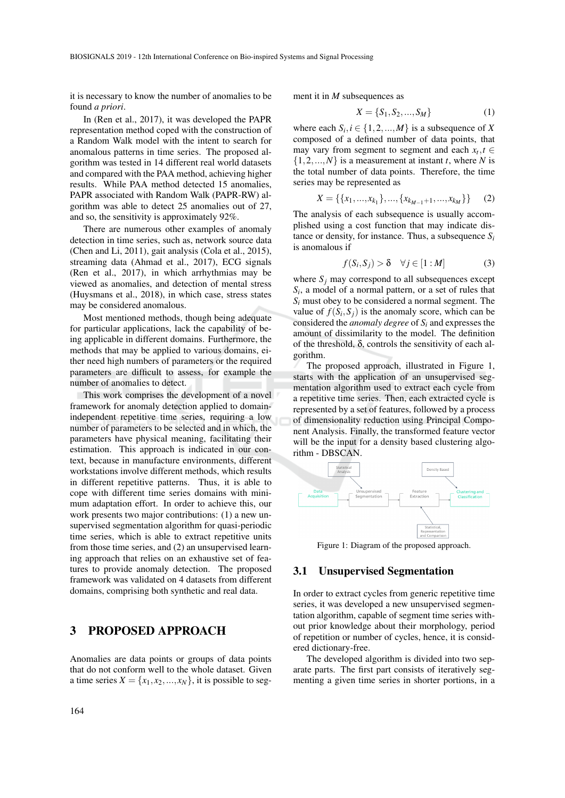it is necessary to know the number of anomalies to be found *a priori*.

In (Ren et al., 2017), it was developed the PAPR representation method coped with the construction of a Random Walk model with the intent to search for anomalous patterns in time series. The proposed algorithm was tested in 14 different real world datasets and compared with the PAA method, achieving higher results. While PAA method detected 15 anomalies, PAPR associated with Random Walk (PAPR-RW) algorithm was able to detect 25 anomalies out of 27, and so, the sensitivity is approximately 92%.

There are numerous other examples of anomaly detection in time series, such as, network source data (Chen and Li, 2011), gait analysis (Cola et al., 2015), streaming data (Ahmad et al., 2017), ECG signals (Ren et al., 2017), in which arrhythmias may be viewed as anomalies, and detection of mental stress (Huysmans et al., 2018), in which case, stress states may be considered anomalous.

Most mentioned methods, though being adequate for particular applications, lack the capability of being applicable in different domains. Furthermore, the methods that may be applied to various domains, either need high numbers of parameters or the required parameters are difficult to assess, for example the number of anomalies to detect.

This work comprises the development of a novel framework for anomaly detection applied to domainindependent repetitive time series, requiring a low number of parameters to be selected and in which, the parameters have physical meaning, facilitating their estimation. This approach is indicated in our context, because in manufacture environments, different workstations involve different methods, which results in different repetitive patterns. Thus, it is able to cope with different time series domains with minimum adaptation effort. In order to achieve this, our work presents two major contributions: (1) a new unsupervised segmentation algorithm for quasi-periodic time series, which is able to extract repetitive units from those time series, and (2) an unsupervised learning approach that relies on an exhaustive set of features to provide anomaly detection. The proposed framework was validated on 4 datasets from different domains, comprising both synthetic and real data.

### 3 PROPOSED APPROACH

Anomalies are data points or groups of data points that do not conform well to the whole dataset. Given a time series  $X = \{x_1, x_2, ..., x_N\}$ , it is possible to segment it in *M* subsequences as

$$
X = \{S_1, S_2, ..., S_M\}
$$
 (1)

where each  $S_i$ ,  $i \in \{1, 2, ..., M\}$  is a subsequence of *X* composed of a defined number of data points, that may vary from segment to segment and each  $x_t, t \in$  $\{1,2,...,N\}$  is a measurement at instant *t*, where *N* is the total number of data points. Therefore, the time series may be represented as

$$
X = \{\{x_1, \ldots, x_{k_1}\}, \ldots, \{x_{k_{M-1}+1}, \ldots, x_{k_M}\}\}\
$$
 (2)

The analysis of each subsequence is usually accomplished using a cost function that may indicate distance or density, for instance. Thus, a subsequence *S<sup>i</sup>* is anomalous if

$$
f(S_i, S_j) > \delta \quad \forall j \in [1 : M]
$$
 (3)

where  $S_i$  may correspond to all subsequences except *Si* , a model of a normal pattern, or a set of rules that  $S_i$  must obey to be considered a normal segment. The value of  $f(S_i, S_j)$  is the anomaly score, which can be considered the *anomaly degree* of *S<sup>i</sup>* and expresses the amount of dissimilarity to the model. The definition of the threshold, δ, controls the sensitivity of each algorithm.

The proposed approach, illustrated in Figure 1, starts with the application of an unsupervised segmentation algorithm used to extract each cycle from a repetitive time series. Then, each extracted cycle is represented by a set of features, followed by a process of dimensionality reduction using Principal Component Analysis. Finally, the transformed feature vector will be the input for a density based clustering algorithm - DBSCAN.



Figure 1: Diagram of the proposed approach.

#### 3.1 Unsupervised Segmentation

In order to extract cycles from generic repetitive time series, it was developed a new unsupervised segmentation algorithm, capable of segment time series without prior knowledge about their morphology, period of repetition or number of cycles, hence, it is considered dictionary-free.

The developed algorithm is divided into two separate parts. The first part consists of iteratively segmenting a given time series in shorter portions, in a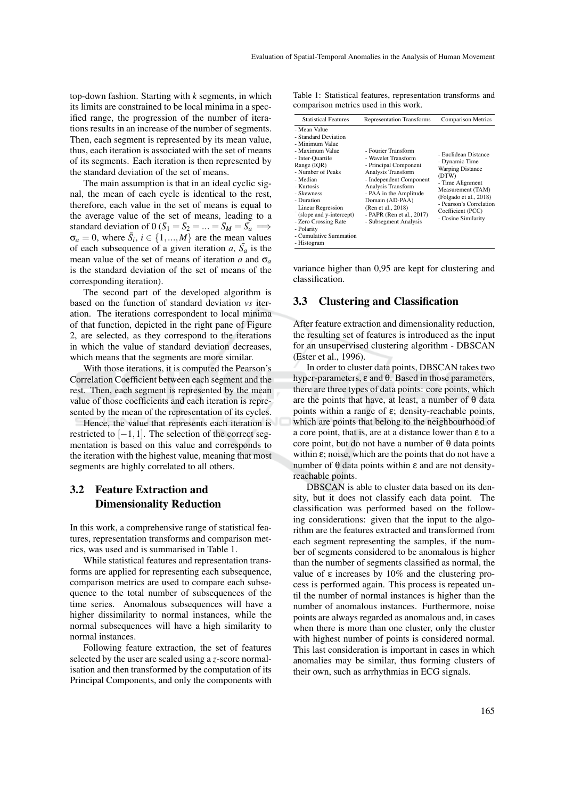top-down fashion. Starting with *k* segments, in which its limits are constrained to be local minima in a specified range, the progression of the number of iterations results in an increase of the number of segments. Then, each segment is represented by its mean value, thus, each iteration is associated with the set of means of its segments. Each iteration is then represented by the standard deviation of the set of means.

The main assumption is that in an ideal cyclic signal, the mean of each cycle is identical to the rest, therefore, each value in the set of means is equal to the average value of the set of means, leading to a standard deviation of 0 ( $\bar{S}_1 = \bar{S}_2 = ... = \bar{S}_M = \bar{S}_a$  $\sigma_a = 0$ , where  $\bar{S}_i$ ,  $i \in \{1, ..., M\}$  are the mean values of each subsequence of a given iteration  $a$ ,  $\bar{S}_a$  is the mean value of the set of means of iteration *a* and  $\sigma_a$ is the standard deviation of the set of means of the corresponding iteration).

The second part of the developed algorithm is based on the function of standard deviation *vs* iteration. The iterations correspondent to local minima of that function, depicted in the right pane of Figure 2, are selected, as they correspond to the iterations in which the value of standard deviation decreases, which means that the segments are more similar.

With those iterations, it is computed the Pearson's Correlation Coefficient between each segment and the rest. Then, each segment is represented by the mean value of those coefficients and each iteration is represented by the mean of the representation of its cycles.

Hence, the value that represents each iteration is restricted to  $[-1,1]$ . The selection of the correct segmentation is based on this value and corresponds to the iteration with the highest value, meaning that most segments are highly correlated to all others.

### 3.2 Feature Extraction and Dimensionality Reduction

In this work, a comprehensive range of statistical features, representation transforms and comparison metrics, was used and is summarised in Table 1.

While statistical features and representation transforms are applied for representing each subsequence, comparison metrics are used to compare each subsequence to the total number of subsequences of the time series. Anomalous subsequences will have a higher dissimilarity to normal instances, while the normal subsequences will have a high similarity to normal instances.

Following feature extraction, the set of features selected by the user are scaled using a *z*-score normalisation and then transformed by the computation of its Principal Components, and only the components with

Table 1: Statistical features, representation transforms and comparison metrics used in this work.

| <b>Statistical Features</b><br><b>Representation Transforms</b><br>- Mean Value<br>- Standard Deviation<br>- Minimum Value<br>- Fourier Transform<br>- Maximum Value<br>- Wavelet Transform<br>- Inter-Quartile<br>- Dynamic Time<br>- Principal Component<br>Range (IOR)<br><b>Warping Distance</b><br>- Number of Peaks<br>Analysis Transform<br>(DTW)<br>- Independent Component<br>- Median<br>- Time Alignment<br>Analysis Transform<br>- Kurtosis<br>- Skewness<br>- PAA in the Amplitude<br>- Duration<br>Domain (AD-PAA)<br>(Ren et al., 2018)<br>Linear Regression<br>Coefficient (PCC)<br>(slope and y-intercept)<br>- PAPR (Ren et al., 2017)<br>- Cosine Similarity<br>- Zero Crossing Rate<br>- Subsegment Analysis<br>- Polarity |  |                                                                                                |
|------------------------------------------------------------------------------------------------------------------------------------------------------------------------------------------------------------------------------------------------------------------------------------------------------------------------------------------------------------------------------------------------------------------------------------------------------------------------------------------------------------------------------------------------------------------------------------------------------------------------------------------------------------------------------------------------------------------------------------------------|--|------------------------------------------------------------------------------------------------|
|                                                                                                                                                                                                                                                                                                                                                                                                                                                                                                                                                                                                                                                                                                                                                |  | <b>Comparison Metrics</b>                                                                      |
| - Cumulative Summation                                                                                                                                                                                                                                                                                                                                                                                                                                                                                                                                                                                                                                                                                                                         |  | - Euclidean Distance<br>Measurement (TAM)<br>(Folgado et al., 2018)<br>- Pearson's Correlation |

variance higher than 0,95 are kept for clustering and classification.

#### 3.3 Clustering and Classification

After feature extraction and dimensionality reduction, the resulting set of features is introduced as the input for an unsupervised clustering algorithm - DBSCAN (Ester et al., 1996).

In order to cluster data points, DBSCAN takes two hyper-parameters, ε and θ. Based in those parameters, there are three types of data points: core points, which are the points that have, at least, a number of  $\theta$  data points within a range of  $ε$ ; density-reachable points, which are points that belong to the neighbourhood of a core point, that is, are at a distance lower than ε to a core point, but do not have a number of θ data points within  $\varepsilon$ ; noise, which are the points that do not have a number of θ data points within  $ε$  and are not densityreachable points.

DBSCAN is able to cluster data based on its density, but it does not classify each data point. The classification was performed based on the following considerations: given that the input to the algorithm are the features extracted and transformed from each segment representing the samples, if the number of segments considered to be anomalous is higher than the number of segments classified as normal, the value of ε increases by 10% and the clustering process is performed again. This process is repeated until the number of normal instances is higher than the number of anomalous instances. Furthermore, noise points are always regarded as anomalous and, in cases when there is more than one cluster, only the cluster with highest number of points is considered normal. This last consideration is important in cases in which anomalies may be similar, thus forming clusters of their own, such as arrhythmias in ECG signals.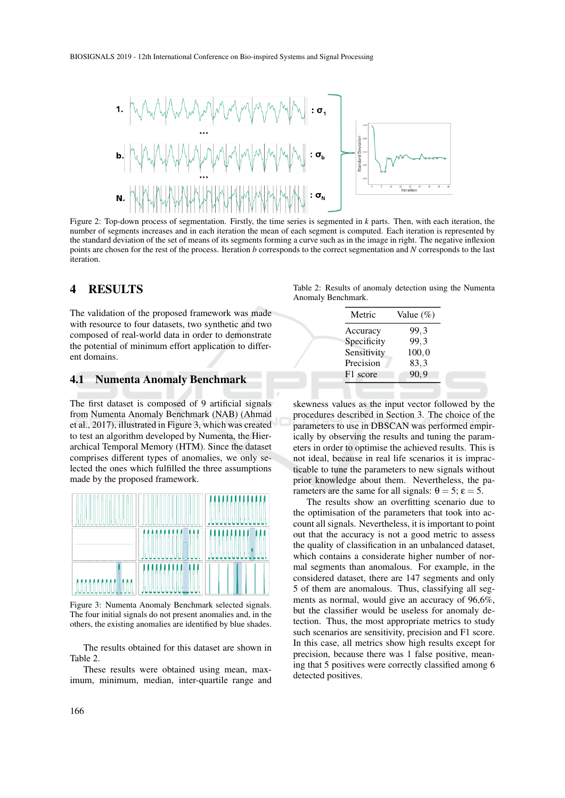

Figure 2: Top-down process of segmentation. Firstly, the time series is segmented in *k* parts. Then, with each iteration, the number of segments increases and in each iteration the mean of each segment is computed. Each iteration is represented by the standard deviation of the set of means of its segments forming a curve such as in the image in right. The negative inflexion points are chosen for the rest of the process. Iteration *b* corresponds to the correct segmentation and *N* corresponds to the last iteration.

### 4 RESULTS

The validation of the proposed framework was made with resource to four datasets, two synthetic and two composed of real-world data in order to demonstrate the potential of minimum effort application to different domains.

#### 4.1 Numenta Anomaly Benchmark

The first dataset is composed of 9 artificial signals from Numenta Anomaly Benchmark (NAB) (Ahmad et al., 2017), illustrated in Figure 3, which was created to test an algorithm developed by Numenta, the Hierarchical Temporal Memory (HTM). Since the dataset comprises different types of anomalies, we only selected the ones which fulfilled the three assumptions made by the proposed framework.



Figure 3: Numenta Anomaly Benchmark selected signals. The four initial signals do not present anomalies and, in the others, the existing anomalies are identified by blue shades.

The results obtained for this dataset are shown in Table 2.

These results were obtained using mean, maximum, minimum, median, inter-quartile range and

Table 2: Results of anomaly detection using the Numenta Anomaly Benchmark.

| Metric      | Value $(\%)$ |
|-------------|--------------|
| Accuracy    | 99,3         |
| Specificity | 99,3         |
| Sensitivity | 100, 0       |
| Precision   | 83,3         |
| F1 score    | 90,9         |

skewness values as the input vector followed by the procedures described in Section 3. The choice of the parameters to use in DBSCAN was performed empirically by observing the results and tuning the parameters in order to optimise the achieved results. This is not ideal, because in real life scenarios it is impracticable to tune the parameters to new signals without prior knowledge about them. Nevertheless, the parameters are the same for all signals:  $\theta = 5$ ;  $\varepsilon = 5$ .

The results show an overfitting scenario due to the optimisation of the parameters that took into account all signals. Nevertheless, it is important to point out that the accuracy is not a good metric to assess the quality of classification in an unbalanced dataset, which contains a considerate higher number of normal segments than anomalous. For example, in the considered dataset, there are 147 segments and only 5 of them are anomalous. Thus, classifying all segments as normal, would give an accuracy of 96,6%, but the classifier would be useless for anomaly detection. Thus, the most appropriate metrics to study such scenarios are sensitivity, precision and F1 score. In this case, all metrics show high results except for precision, because there was 1 false positive, meaning that 5 positives were correctly classified among 6 detected positives.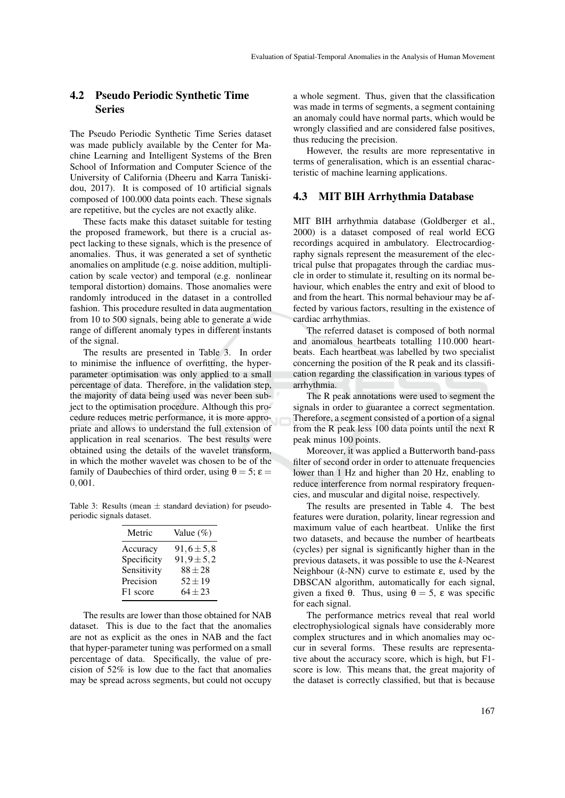### 4.2 Pseudo Periodic Synthetic Time Series

The Pseudo Periodic Synthetic Time Series dataset was made publicly available by the Center for Machine Learning and Intelligent Systems of the Bren School of Information and Computer Science of the University of California (Dheeru and Karra Taniskidou, 2017). It is composed of 10 artificial signals composed of 100.000 data points each. These signals are repetitive, but the cycles are not exactly alike.

These facts make this dataset suitable for testing the proposed framework, but there is a crucial aspect lacking to these signals, which is the presence of anomalies. Thus, it was generated a set of synthetic anomalies on amplitude (e.g. noise addition, multiplication by scale vector) and temporal (e.g. nonlinear temporal distortion) domains. Those anomalies were randomly introduced in the dataset in a controlled fashion. This procedure resulted in data augmentation from 10 to 500 signals, being able to generate a wide range of different anomaly types in different instants of the signal.

The results are presented in Table 3. In order to minimise the influence of overfitting, the hyperparameter optimisation was only applied to a small percentage of data. Therefore, in the validation step, the majority of data being used was never been subject to the optimisation procedure. Although this procedure reduces metric performance, it is more appropriate and allows to understand the full extension of application in real scenarios. The best results were obtained using the details of the wavelet transform, in which the mother wavelet was chosen to be of the family of Daubechies of third order, using  $\theta = 5$ ;  $\varepsilon =$ 0,001.

Table 3: Results (mean  $\pm$  standard deviation) for pseudoperiodic signals dataset.

| Metric      | Value $(\%)$     |
|-------------|------------------|
| Accuracy    | $91,6 \pm 5,8$   |
| Specificity | $91, 9 \pm 5, 2$ |
| Sensitivity | $88 \pm 28$      |
| Precision   | $52 + 19$        |
| F1 score    | $64 + 23$        |

The results are lower than those obtained for NAB dataset. This is due to the fact that the anomalies are not as explicit as the ones in NAB and the fact that hyper-parameter tuning was performed on a small percentage of data. Specifically, the value of precision of 52% is low due to the fact that anomalies may be spread across segments, but could not occupy

a whole segment. Thus, given that the classification was made in terms of segments, a segment containing an anomaly could have normal parts, which would be wrongly classified and are considered false positives, thus reducing the precision.

However, the results are more representative in terms of generalisation, which is an essential characteristic of machine learning applications.

#### 4.3 MIT BIH Arrhythmia Database

MIT BIH arrhythmia database (Goldberger et al., 2000) is a dataset composed of real world ECG recordings acquired in ambulatory. Electrocardiography signals represent the measurement of the electrical pulse that propagates through the cardiac muscle in order to stimulate it, resulting on its normal behaviour, which enables the entry and exit of blood to and from the heart. This normal behaviour may be affected by various factors, resulting in the existence of cardiac arrhythmias.

The referred dataset is composed of both normal and anomalous heartbeats totalling 110.000 heartbeats. Each heartbeat was labelled by two specialist concerning the position of the R peak and its classification regarding the classification in various types of arrhythmia.

The R peak annotations were used to segment the signals in order to guarantee a correct segmentation. Therefore, a segment consisted of a portion of a signal from the R peak less 100 data points until the next R peak minus 100 points.

Moreover, it was applied a Butterworth band-pass filter of second order in order to attenuate frequencies lower than 1 Hz and higher than 20 Hz, enabling to reduce interference from normal respiratory frequencies, and muscular and digital noise, respectively.

The results are presented in Table 4. The best features were duration, polarity, linear regression and maximum value of each heartbeat. Unlike the first two datasets, and because the number of heartbeats (cycles) per signal is significantly higher than in the previous datasets, it was possible to use the *k*-Nearest Neighbour (*k*-NN) curve to estimate ε, used by the DBSCAN algorithm, automatically for each signal, given a fixed θ. Thus, using  $θ = 5$ , ε was specific for each signal.

The performance metrics reveal that real world electrophysiological signals have considerably more complex structures and in which anomalies may occur in several forms. These results are representative about the accuracy score, which is high, but F1 score is low. This means that, the great majority of the dataset is correctly classified, but that is because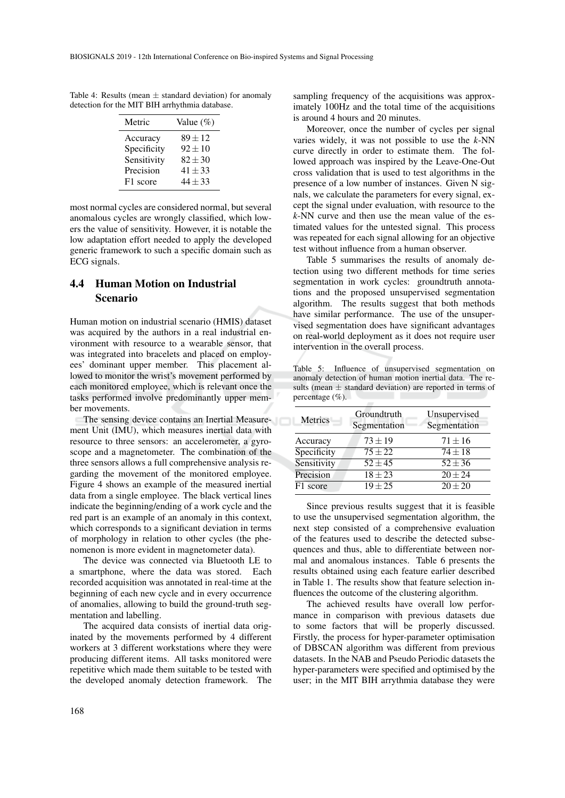Table 4: Results (mean  $\pm$  standard deviation) for anomaly detection for the MIT BIH arrhythmia database.

| Metric      | Value $(\%)$ |
|-------------|--------------|
| Accuracy    | $89 + 12$    |
| Specificity | $92 \pm 10$  |
| Sensitivity | $82 \pm 30$  |
| Precision   | $41 \pm 33$  |
| F1 score    | $44 + 33$    |

most normal cycles are considered normal, but several anomalous cycles are wrongly classified, which lowers the value of sensitivity. However, it is notable the low adaptation effort needed to apply the developed generic framework to such a specific domain such as ECG signals.

### 4.4 Human Motion on Industrial Scenario

Human motion on industrial scenario (HMIS) dataset was acquired by the authors in a real industrial environment with resource to a wearable sensor, that was integrated into bracelets and placed on employees' dominant upper member. This placement allowed to monitor the wrist's movement performed by each monitored employee, which is relevant once the tasks performed involve predominantly upper member movements.

The sensing device contains an Inertial Measurement Unit (IMU), which measures inertial data with resource to three sensors: an accelerometer, a gyroscope and a magnetometer. The combination of the three sensors allows a full comprehensive analysis regarding the movement of the monitored employee. Figure 4 shows an example of the measured inertial data from a single employee. The black vertical lines indicate the beginning/ending of a work cycle and the red part is an example of an anomaly in this context, which corresponds to a significant deviation in terms of morphology in relation to other cycles (the phenomenon is more evident in magnetometer data).

The device was connected via Bluetooth LE to a smartphone, where the data was stored. Each recorded acquisition was annotated in real-time at the beginning of each new cycle and in every occurrence of anomalies, allowing to build the ground-truth segmentation and labelling.

The acquired data consists of inertial data originated by the movements performed by 4 different workers at 3 different workstations where they were producing different items. All tasks monitored were repetitive which made them suitable to be tested with the developed anomaly detection framework. The

sampling frequency of the acquisitions was approximately 100Hz and the total time of the acquisitions is around 4 hours and 20 minutes.

Moreover, once the number of cycles per signal varies widely, it was not possible to use the *k*-NN curve directly in order to estimate them. The followed approach was inspired by the Leave-One-Out cross validation that is used to test algorithms in the presence of a low number of instances. Given N signals, we calculate the parameters for every signal, except the signal under evaluation, with resource to the *k*-NN curve and then use the mean value of the estimated values for the untested signal. This process was repeated for each signal allowing for an objective test without influence from a human observer.

Table 5 summarises the results of anomaly detection using two different methods for time series segmentation in work cycles: groundtruth annotations and the proposed unsupervised segmentation algorithm. The results suggest that both methods have similar performance. The use of the unsupervised segmentation does have significant advantages on real-world deployment as it does not require user intervention in the overall process.

Table 5: Influence of unsupervised segmentation on anomaly detection of human motion inertial data. The results (mean  $\pm$  standard deviation) are reported in terms of percentage (%).

| Metrics     | Groundtruth<br>Segmentation | Unsupervised<br>Segmentation |  |
|-------------|-----------------------------|------------------------------|--|
| Accuracy    | $73 + 19$                   | $71 + 16$                    |  |
| Specificity | $75 + 22$                   | $74 + 18$                    |  |
| Sensitivity | $52 + 45$                   | $52 + 36$                    |  |
| Precision   | $18 + 23$                   | $20 \pm 24$                  |  |
| F1 score    | $19 + 25$                   | $20 \pm 20$                  |  |
|             |                             |                              |  |

Since previous results suggest that it is feasible to use the unsupervised segmentation algorithm, the next step consisted of a comprehensive evaluation of the features used to describe the detected subsequences and thus, able to differentiate between normal and anomalous instances. Table 6 presents the results obtained using each feature earlier described in Table 1. The results show that feature selection influences the outcome of the clustering algorithm.

The achieved results have overall low performance in comparison with previous datasets due to some factors that will be properly discussed. Firstly, the process for hyper-parameter optimisation of DBSCAN algorithm was different from previous datasets. In the NAB and Pseudo Periodic datasets the hyper-parameters were specified and optimised by the user; in the MIT BIH arrythmia database they were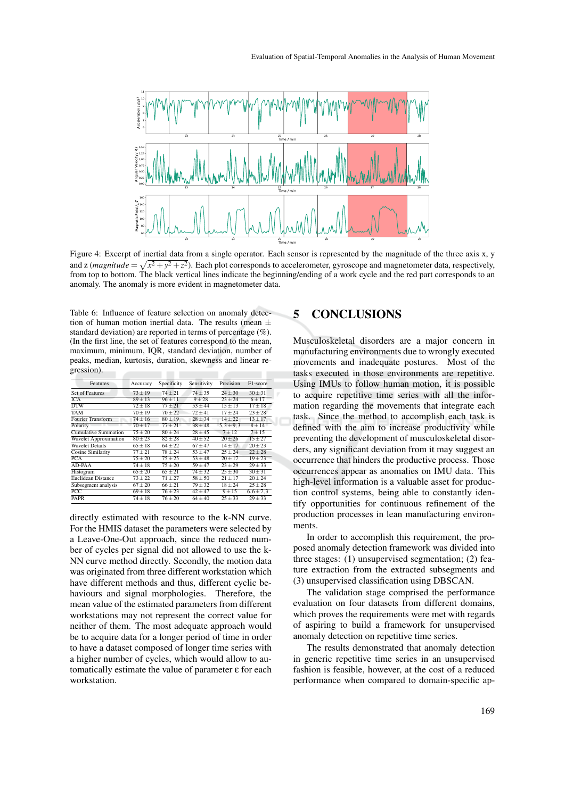

Figure 4: Excerpt of inertial data from a single operator. Each sensor is represented by the magnitude of the three axis x, y and z (*magnitude* =  $\sqrt{x^2 + y^2 + z^2}$ ). Each plot corresponds to accelerometer, gyroscope and magnetometer data, respectively, from top to bottom. The black vertical lines indicate the beginning/ending of a work cycle and the red part corresponds to an anomaly. The anomaly is more evident in magnetometer data.

Table 6: Influence of feature selection on anomaly detection of human motion inertial data. The results (mean  $\pm$ standard deviation) are reported in terms of percentage (%). (In the first line, the set of features correspond to the mean, maximum, minimum, IQR, standard deviation, number of peaks, median, kurtosis, duration, skewness and linear regression).

| Features                 | Accuracy    | Specificity | Sensitivity      | Precision     | F1-score      |
|--------------------------|-------------|-------------|------------------|---------------|---------------|
| <b>Set of Features</b>   | $73 \pm 19$ | $74 \pm 21$ | $74 \pm 35$      | $24 \pm 30$   | $30 \pm 31$   |
| <b>ICA</b>               | $89 + 13$   | $96 \pm 11$ | $9 + 28$         | $23 + 24$     | $6 + 17$      |
| <b>DTW</b>               | $72 \pm 18$ | $77 + 21$   | $53 \pm 44$      | $15 \pm 13$   | $17 \pm 18$   |
| <b>TAM</b>               | $70 \pm 19$ | $70 + 22$   | $72 + 41$        | $17 + 24$     | $23 + 28$     |
| <b>Fourier Transform</b> | $74 \pm 16$ | $80 \pm 19$ | $28 \pm 34$      | $14 + 22$     | $13 \pm 17$   |
| Polarity                 | $70 + 17$   | $77 + 21$   | $38 + 48$        | $5.3 \pm 9.3$ | $8 + 14$      |
| Cumulative Summation     | $75 \pm 20$ | $80 + 24$   | $28 + 45$        | $7 + 12$      | $7 + 15$      |
| Wavelet Approximation    | $80 + 23$   | $82 + 28$   | $40 + 52$        | $20 + 26$     | $15 + 27$     |
| <b>Wavelet Details</b>   | $65 \pm 18$ | $64 + 22$   | $67 + 47$        | $14 + 17$     | $20 \pm 23$   |
| Cosine Similarity        | $77 \pm 21$ | $78 + 24$   | $\sqrt{53}$ ± 47 | $25 + 24$     | $22 + 28$     |
| PCA                      | $75 + 20$   | $75 + 25$   | $53 + 48$        | $20 + 17$     | $19 \pm 23$   |
| AD-PAA                   | $74 \pm 18$ | $75 + 20$   | $59 + 47$        | $23 + 29$     | $29 + 33$     |
| Histogram                | $65 + 20$   | $65 + 21$   | $74 + 32$        | $25 + 30$     | $30 + 31$     |
| Euclidean Distance       | $73 + 22$   | $71 + 27$   | $58 + 50$        | $21 + 17$     | $20 + 24$     |
| Subsegment analysis      | $67 + 20$   | $66 + 21$   | $79 + 32$        | $18 + 24$     | $25 + 28$     |
| $\overline{PCC}$         | $69 \pm 18$ | $76 + 23$   | $42 + 47$        | $9 + 15$      | $6,6 \pm 7,3$ |
| <b>PAPR</b>              | $74 + 18$   | $76 + 20$   | $64 + 40$        | $25 + 33$     | $29 + 33$     |
|                          |             |             |                  |               |               |

directly estimated with resource to the k-NN curve. For the HMIS dataset the parameters were selected by a Leave-One-Out approach, since the reduced number of cycles per signal did not allowed to use the k-NN curve method directly. Secondly, the motion data was originated from three different workstation which have different methods and thus, different cyclic behaviours and signal morphologies. Therefore, the mean value of the estimated parameters from different workstations may not represent the correct value for neither of them. The most adequate approach would be to acquire data for a longer period of time in order to have a dataset composed of longer time series with a higher number of cycles, which would allow to automatically estimate the value of parameter ε for each workstation.

### 5 CONCLUSIONS

Musculoskeletal disorders are a major concern in manufacturing environments due to wrongly executed movements and inadequate postures. Most of the tasks executed in those environments are repetitive. Using IMUs to follow human motion, it is possible to acquire repetitive time series with all the information regarding the movements that integrate each task. Since the method to accomplish each task is defined with the aim to increase productivity while preventing the development of musculoskeletal disorders, any significant deviation from it may suggest an occurrence that hinders the productive process. Those occurrences appear as anomalies on IMU data. This high-level information is a valuable asset for production control systems, being able to constantly identify opportunities for continuous refinement of the production processes in lean manufacturing environments.

In order to accomplish this requirement, the proposed anomaly detection framework was divided into three stages: (1) unsupervised segmentation; (2) feature extraction from the extracted subsegments and (3) unsupervised classification using DBSCAN.

The validation stage comprised the performance evaluation on four datasets from different domains, which proves the requirements were met with regards of aspiring to build a framework for unsupervised anomaly detection on repetitive time series.

The results demonstrated that anomaly detection in generic repetitive time series in an unsupervised fashion is feasible, however, at the cost of a reduced performance when compared to domain-specific ap